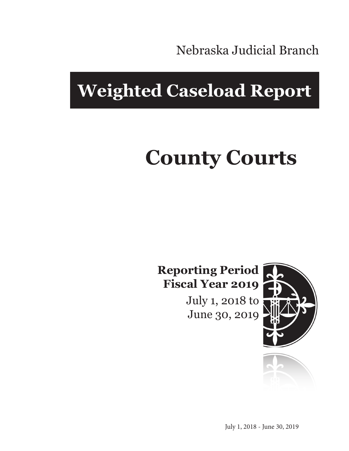Nebraska Judicial Branch

## **Weighted Caseload Report**

# **County Courts**

**Reporting Period Fiscal Year 2019**

> July 1, 2018 to June 30, 2019



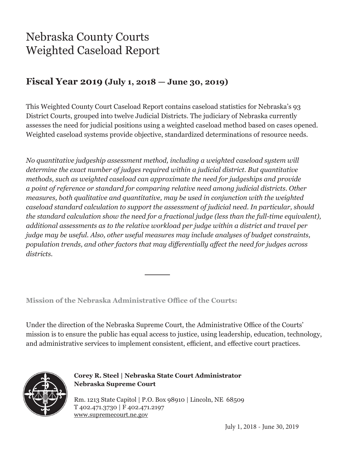### Nebraska County Courts Weighted Caseload Report

#### **Fiscal Year 2019 (July 1, 2018 — June 30, 2019)**

This Weighted County Court Caseload Report contains caseload statistics for Nebraska's 93 District Courts, grouped into twelve Judicial Districts. The judiciary of Nebraska currently assesses the need for judicial positions using a weighted caseload method based on cases opened. Weighted caseload systems provide objective, standardized determinations of resource needs.

*No quantitative judgeship assessment method, including a weighted caseload system will determine the exact number of judges required within a judicial district. But quantitative methods, such as weighted caseload can approximate the need for judgeships and provide a point of reference or standard for comparing relative need among judicial districts. Other measures, both qualitative and quantitative, may be used in conjunction with the weighted caseload standard calculation to support the assessment of judicial need. In particular, should the standard calculation show the need for a fractional judge (less than the full-time equivalent), additional assessments as to the relative workload per judge within a district and travel per judge may be useful. Also, other useful measures may include analyses of budget constraints, population trends, and other factors that may differentially affect the need for judges across districts.*

**Mission of the Nebraska Administrative Office of the Courts:**

Under the direction of the Nebraska Supreme Court, the Administrative Office of the Courts' mission is to ensure the public has equal access to justice, using leadership, education, technology, and administrative services to implement consistent, efficient, and effective court practices.



**Corey R. Steel | Nebraska State Court Administrator Nebraska Supreme Court**

Rm. 1213 State Capitol | P.O. Box 98910 | Lincoln, NE 68509 T 402.471.3730 | F 402.471.2197 www.supremecourt.ne.gov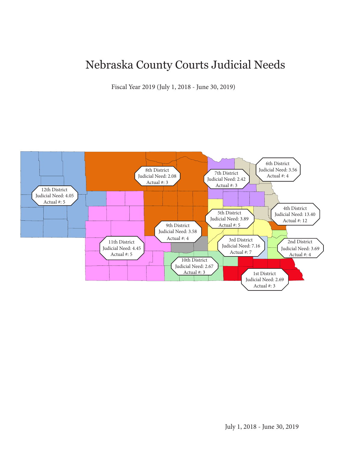#### Nebraska County Courts Judicial Needs

Fiscal Year 2019 (July 1, 2018 - June 30, 2019)

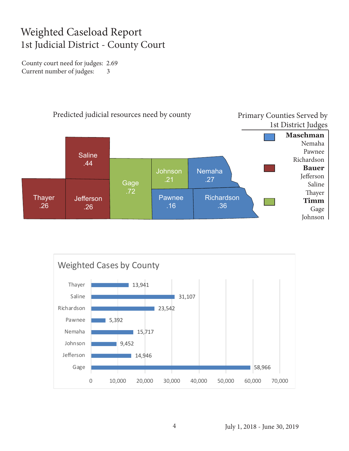#### Weighted Caseload Report 1st Judicial District - County Court

County court need for judges: 2.69 Current number of judges: 3



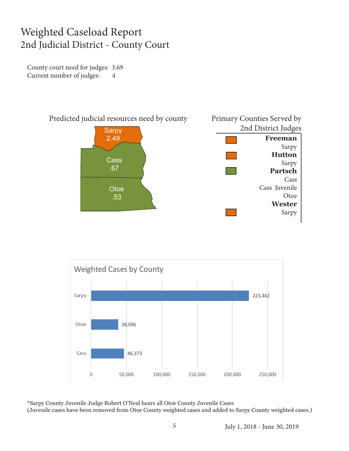#### Weighted Caseload Report 2nd Judicial District - County Court

County court need for judges: 3.69 Current number of judges: 4





\*Sarpy County Juvenile Judge Robert O'Neal hears all Otoe County Juvenile Cases (Juvenile cases have been removed from Otoe County weighted cases and added to Sarpy County weighted cases.)

July 1, 2018 - June 30, 2019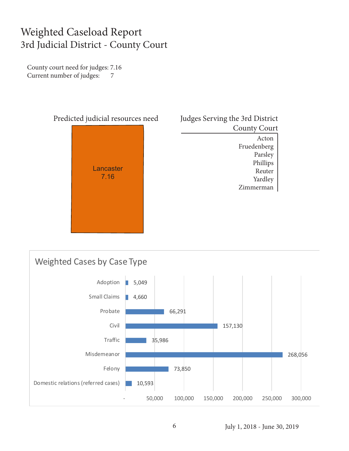#### Weighted Caseload Report 3rd Judicial District - County Court

County court need for judges: 7.16 Current number of judges: 7



| Judges Serving the 3rd District |
|---------------------------------|
| <b>County Court</b>             |
| Acton                           |
| Fruedenberg                     |
| Parsley                         |
| Phillips                        |
| Reuter                          |
| Yardley                         |
| Zimmerman                       |
|                                 |

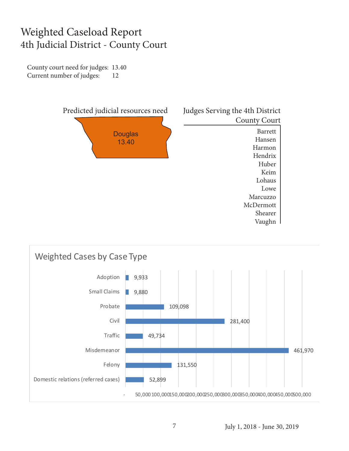#### Weighted Caseload Report 4th Judicial District - County Court

County court need for judges: 13.40 Current number of judges: 12



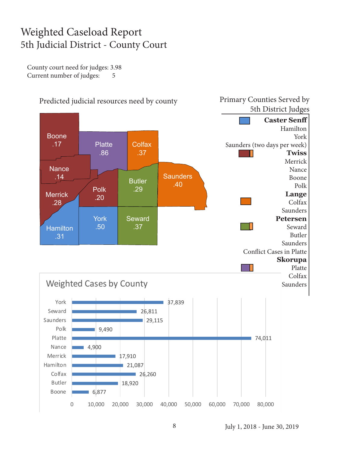#### Weighted Caseload Report 5th Judicial District - County Court

County court need for judges: 3.98 Current number of judges: 5



July 1, 2018 - June 30, 2019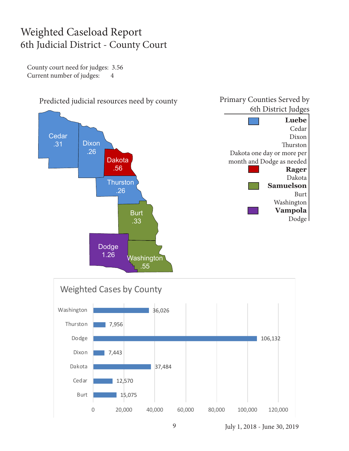#### Weighted Caseload Report 6th Judicial District - County Court

County court need for judges: 3.56 Current number of judges: 4





July 1, 2018 - June 30, 2019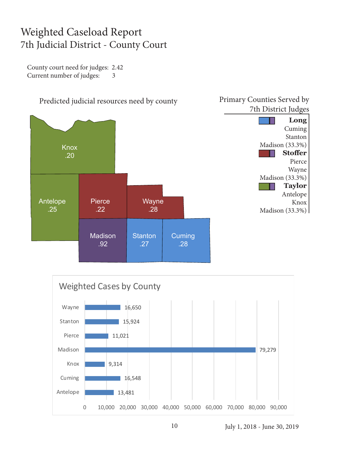#### Weighted Caseload Report 7th Judicial District - County Court

County court need for judges: 2.42 Current number of judges: 3



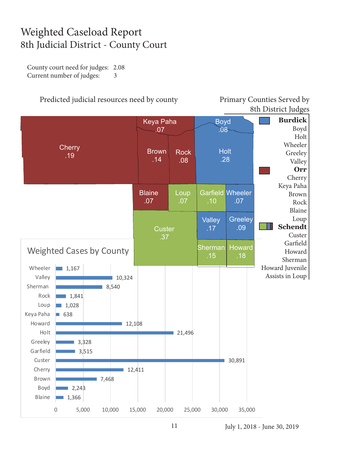#### Weighted Caseload Report 8th Judicial District - County Court

County court need for judges: 2.08 Current number of judges: 3

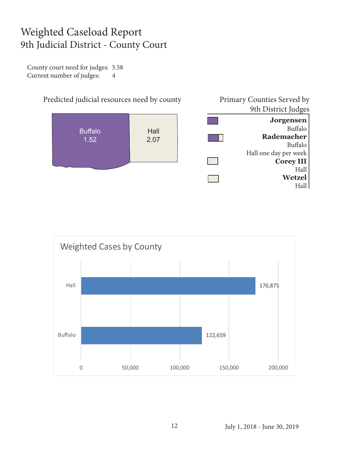#### Weighted Caseload Report 9th Judicial District - County Court

County court need for judges: 3.58 Current number of judges: 4



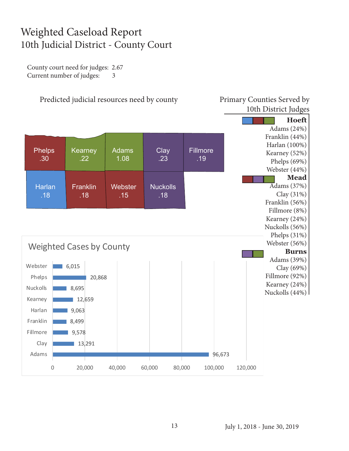#### Weighted Caseload Report 10th Judicial District - County Court

County court need for judges: 2.67 Current number of judges: 3

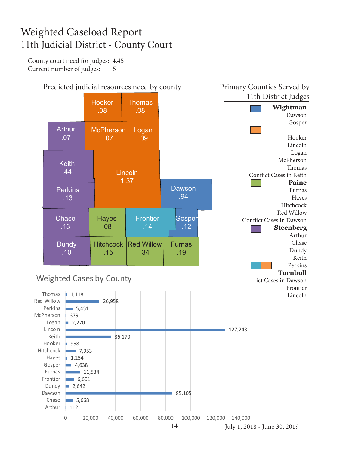#### Weighted Caseload Report 11th Judicial District - County Court

County court need for judges: 4.45 Current number of judges: 5